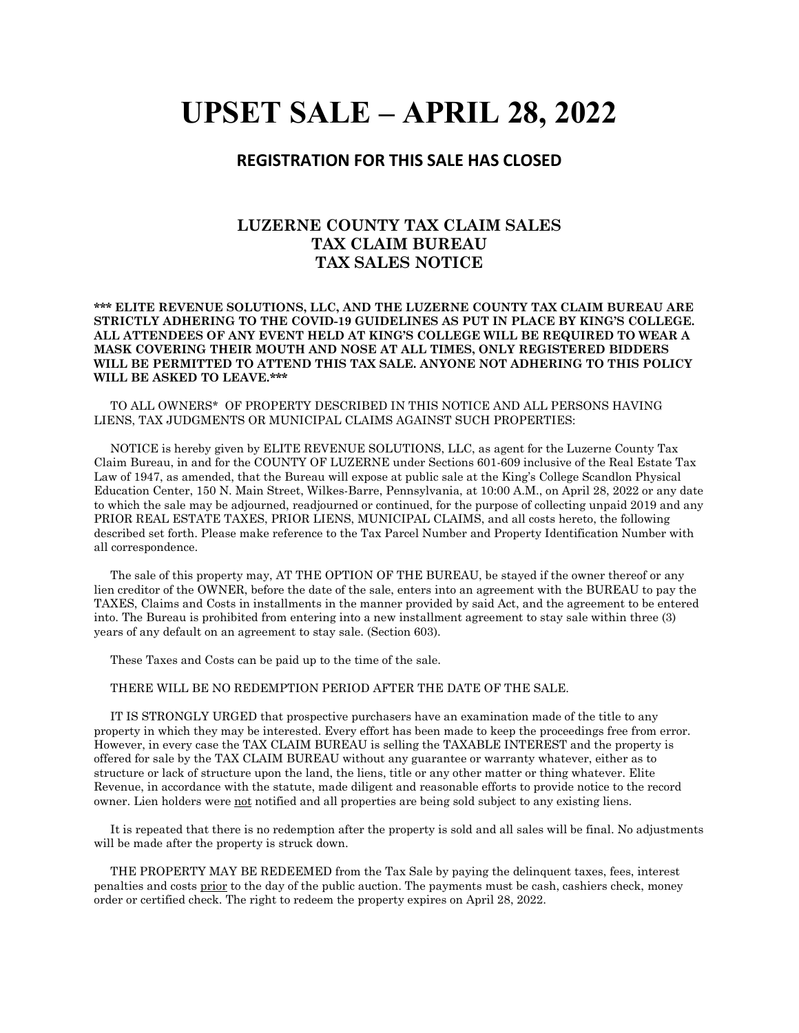# **UPSET SALE – APRIL 28, 2022**

## **REGISTRATION FOR THIS SALE HAS CLOSED**

## **LUZERNE COUNTY TAX CLAIM SALES TAX CLAIM BUREAU TAX SALES NOTICE**

#### **\*\*\* ELITE REVENUE SOLUTIONS, LLC, AND THE LUZERNE COUNTY TAX CLAIM BUREAU ARE STRICTLY ADHERING TO THE COVID-19 GUIDELINES AS PUT IN PLACE BY KING'S COLLEGE. ALL ATTENDEES OF ANY EVENT HELD AT KING'S COLLEGE WILL BE REQUIRED TO WEAR A MASK COVERING THEIR MOUTH AND NOSE AT ALL TIMES, ONLY REGISTERED BIDDERS WILL BE PERMITTED TO ATTEND THIS TAX SALE. ANYONE NOT ADHERING TO THIS POLICY WILL BE ASKED TO LEAVE.\*\*\***

 TO ALL OWNERS\* OF PROPERTY DESCRIBED IN THIS NOTICE AND ALL PERSONS HAVING LIENS, TAX JUDGMENTS OR MUNICIPAL CLAIMS AGAINST SUCH PROPERTIES:

 NOTICE is hereby given by ELITE REVENUE SOLUTIONS, LLC, as agent for the Luzerne County Tax Claim Bureau, in and for the COUNTY OF LUZERNE under Sections 601-609 inclusive of the Real Estate Tax Law of 1947, as amended, that the Bureau will expose at public sale at the King's College Scandlon Physical Education Center, 150 N. Main Street, Wilkes-Barre, Pennsylvania, at 10:00 A.M., on April 28, 2022 or any date to which the sale may be adjourned, readjourned or continued, for the purpose of collecting unpaid 2019 and any PRIOR REAL ESTATE TAXES, PRIOR LIENS, MUNICIPAL CLAIMS, and all costs hereto, the following described set forth. Please make reference to the Tax Parcel Number and Property Identification Number with all correspondence.

 The sale of this property may, AT THE OPTION OF THE BUREAU, be stayed if the owner thereof or any lien creditor of the OWNER, before the date of the sale, enters into an agreement with the BUREAU to pay the TAXES, Claims and Costs in installments in the manner provided by said Act, and the agreement to be entered into. The Bureau is prohibited from entering into a new installment agreement to stay sale within three (3) years of any default on an agreement to stay sale. (Section 603).

These Taxes and Costs can be paid up to the time of the sale.

### THERE WILL BE NO REDEMPTION PERIOD AFTER THE DATE OF THE SALE.

 IT IS STRONGLY URGED that prospective purchasers have an examination made of the title to any property in which they may be interested. Every effort has been made to keep the proceedings free from error. However, in every case the TAX CLAIM BUREAU is selling the TAXABLE INTEREST and the property is offered for sale by the TAX CLAIM BUREAU without any guarantee or warranty whatever, either as to structure or lack of structure upon the land, the liens, title or any other matter or thing whatever. Elite Revenue, in accordance with the statute, made diligent and reasonable efforts to provide notice to the record owner. Lien holders were not notified and all properties are being sold subject to any existing liens.

 It is repeated that there is no redemption after the property is sold and all sales will be final. No adjustments will be made after the property is struck down.

 THE PROPERTY MAY BE REDEEMED from the Tax Sale by paying the delinquent taxes, fees, interest penalties and costs prior to the day of the public auction. The payments must be cash, cashiers check, money order or certified check. The right to redeem the property expires on April 28, 2022.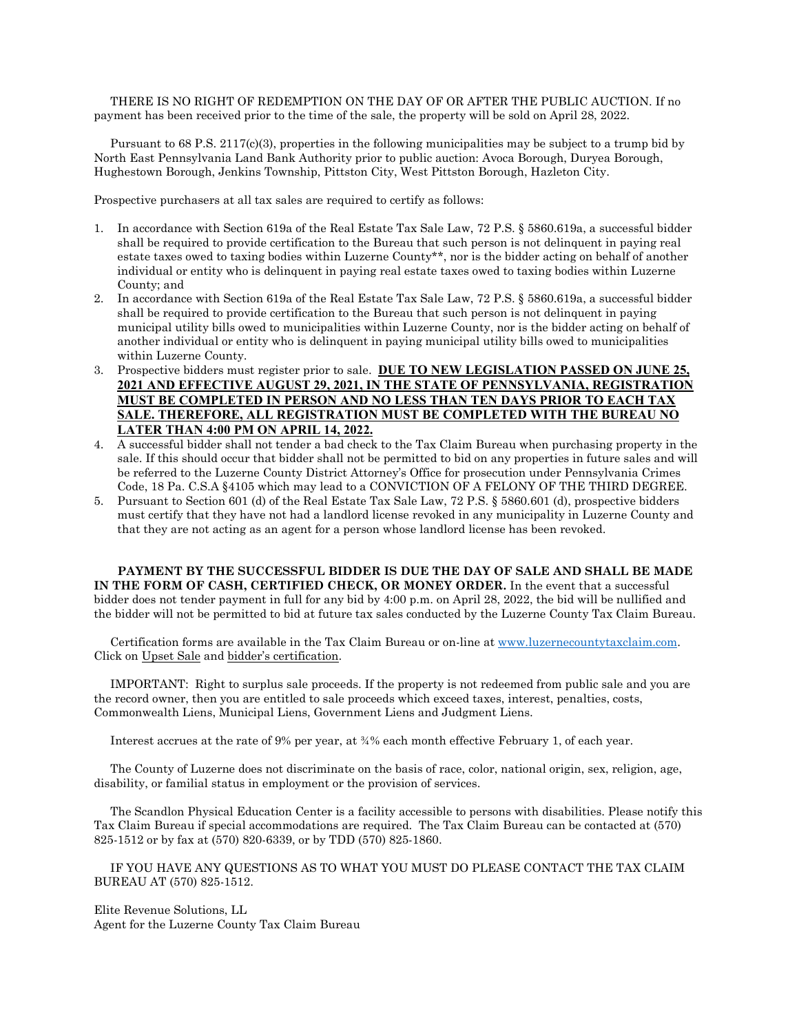THERE IS NO RIGHT OF REDEMPTION ON THE DAY OF OR AFTER THE PUBLIC AUCTION. If no payment has been received prior to the time of the sale, the property will be sold on April 28, 2022.

 Pursuant to 68 P.S. 2117(c)(3), properties in the following municipalities may be subject to a trump bid by North East Pennsylvania Land Bank Authority prior to public auction: Avoca Borough, Duryea Borough, Hughestown Borough, Jenkins Township, Pittston City, West Pittston Borough, Hazleton City.

Prospective purchasers at all tax sales are required to certify as follows:

- 1. In accordance with Section 619a of the Real Estate Tax Sale Law, 72 P.S. § 5860.619a, a successful bidder shall be required to provide certification to the Bureau that such person is not delinquent in paying real estate taxes owed to taxing bodies within Luzerne County\*\*, nor is the bidder acting on behalf of another individual or entity who is delinquent in paying real estate taxes owed to taxing bodies within Luzerne County; and
- 2. In accordance with Section 619a of the Real Estate Tax Sale Law, 72 P.S. § 5860.619a, a successful bidder shall be required to provide certification to the Bureau that such person is not delinquent in paying municipal utility bills owed to municipalities within Luzerne County, nor is the bidder acting on behalf of another individual or entity who is delinquent in paying municipal utility bills owed to municipalities within Luzerne County.
- 3. Prospective bidders must register prior to sale. **DUE TO NEW LEGISLATION PASSED ON JUNE 25, 2021 AND EFFECTIVE AUGUST 29, 2021, IN THE STATE OF PENNSYLVANIA, REGISTRATION MUST BE COMPLETED IN PERSON AND NO LESS THAN TEN DAYS PRIOR TO EACH TAX SALE. THEREFORE, ALL REGISTRATION MUST BE COMPLETED WITH THE BUREAU NO LATER THAN 4:00 PM ON APRIL 14, 2022.**
- 4. A successful bidder shall not tender a bad check to the Tax Claim Bureau when purchasing property in the sale. If this should occur that bidder shall not be permitted to bid on any properties in future sales and will be referred to the Luzerne County District Attorney's Office for prosecution under Pennsylvania Crimes Code, 18 Pa. C.S.A §4105 which may lead to a CONVICTION OF A FELONY OF THE THIRD DEGREE.
- 5. Pursuant to Section 601 (d) of the Real Estate Tax Sale Law, 72 P.S. § 5860.601 (d), prospective bidders must certify that they have not had a landlord license revoked in any municipality in Luzerne County and that they are not acting as an agent for a person whose landlord license has been revoked.

**PAYMENT BY THE SUCCESSFUL BIDDER IS DUE THE DAY OF SALE AND SHALL BE MADE IN THE FORM OF CASH, CERTIFIED CHECK, OR MONEY ORDER.** In the event that a successful bidder does not tender payment in full for any bid by 4:00 p.m. on April 28, 2022, the bid will be nullified and the bidder will not be permitted to bid at future tax sales conducted by the Luzerne County Tax Claim Bureau.

 Certification forms are available in the Tax Claim Bureau or on-line a[t www.luzernecountytaxclaim.com.](https://www.luzernecountytaxclaim.com/) Click on Upset Sale and bidder's certification.

 IMPORTANT: Right to surplus sale proceeds. If the property is not redeemed from public sale and you are the record owner, then you are entitled to sale proceeds which exceed taxes, interest, penalties, costs, Commonwealth Liens, Municipal Liens, Government Liens and Judgment Liens.

Interest accrues at the rate of 9% per year, at  $\frac{3}{4}$ % each month effective February 1, of each year.

 The County of Luzerne does not discriminate on the basis of race, color, national origin, sex, religion, age, disability, or familial status in employment or the provision of services.

 The Scandlon Physical Education Center is a facility accessible to persons with disabilities. Please notify this Tax Claim Bureau if special accommodations are required. The Tax Claim Bureau can be contacted at (570) 825-1512 or by fax at (570) 820-6339, or by TDD (570) 825-1860.

 IF YOU HAVE ANY QUESTIONS AS TO WHAT YOU MUST DO PLEASE CONTACT THE TAX CLAIM BUREAU AT (570) 825-1512.

Elite Revenue Solutions, LL Agent for the Luzerne County Tax Claim Bureau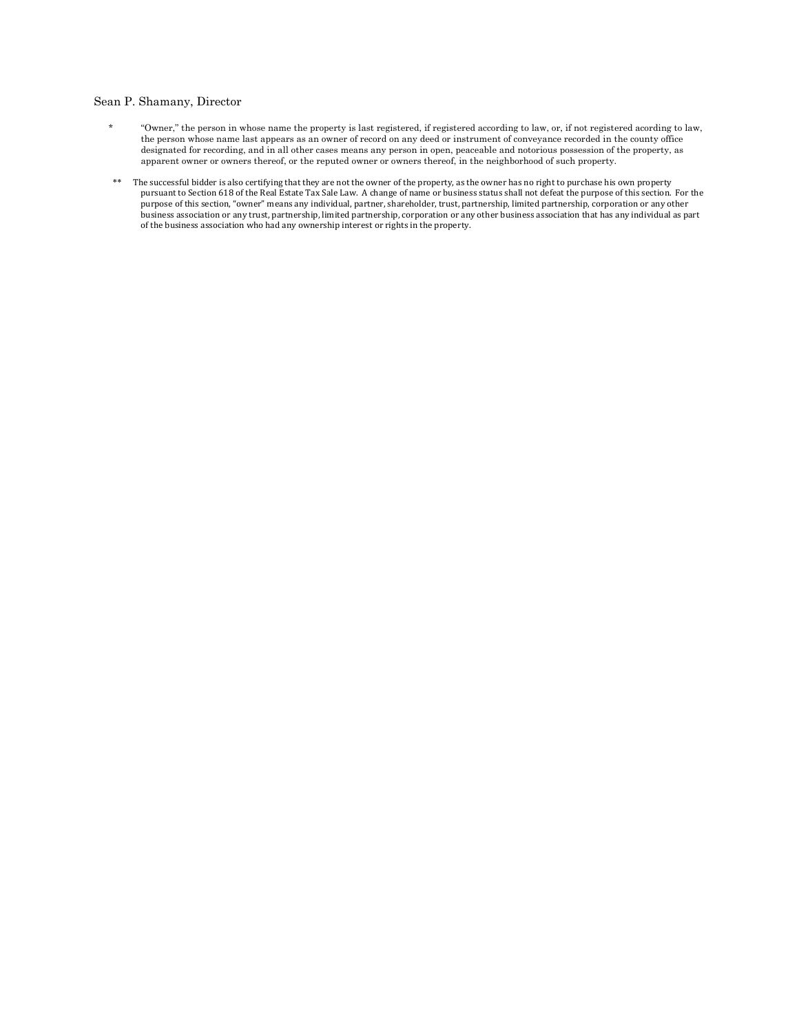#### Sean P. Shamany, Director

- \* "Owner," the person in whose name the property is last registered, if registered according to law, or, if not registered acording to law, the person whose name last appears as an owner of record on any deed or instrument of conveyance recorded in the county office designated for recording, and in all other cases means any person in open, peaceable and notorious possession of the property, as apparent owner or owners thereof, or the reputed owner or owners thereof, in the neighborhood of such property.
- \*\* The successful bidder is also certifying that they are not the owner of the property, as the owner has no right to purchase his own property pursuant to Section 618 of the Real Estate Tax Sale Law. A change of name or business status shall not defeat the purpose of this section. For the purpose of this section, "owner" means any individual, partner, shareholder, trust, partnership, limited partnership, corporation or any other business association or any trust, partnership, limited partnership, corporation or any other business association that has any individual as part of the business association who had any ownership interest or rights in the property.